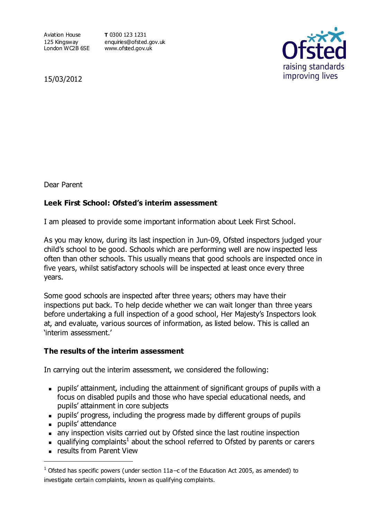Aviation House 125 Kingsway London WC2B 6SE **T** 0300 123 1231 enquiries@ofsted.gov.uk www.ofsted.gov.uk



15/03/2012

Dear Parent

## **Leek First School: Ofsted's interim assessment**

I am pleased to provide some important information about Leek First School.

As you may know, during its last inspection in Jun-09, Ofsted inspectors judged your child's school to be good. Schools which are performing well are now inspected less often than other schools. This usually means that good schools are inspected once in five years, whilst satisfactory schools will be inspected at least once every three years.

Some good schools are inspected after three years; others may have their inspections put back. To help decide whether we can wait longer than three years before undertaking a full inspection of a good school, Her Majesty's Inspectors look at, and evaluate, various sources of information, as listed below. This is called an 'interim assessment.'

## **The results of the interim assessment**

In carrying out the interim assessment, we considered the following:

- pupils' attainment, including the attainment of significant groups of pupils with a focus on disabled pupils and those who have special educational needs, and pupils' attainment in core subjects
- pupils' progress, including the progress made by different groups of pupils
- **pupils'** attendance

 $\overline{a}$ 

- any inspection visits carried out by Ofsted since the last routine inspection
- qualifying complaints<sup>1</sup> about the school referred to Ofsted by parents or carers
- **Example 2** results from Parent View

 $<sup>1</sup>$  Ofsted has specific powers (under section 11a–c of the Education Act 2005, as amended) to</sup> investigate certain complaints, known as qualifying complaints.